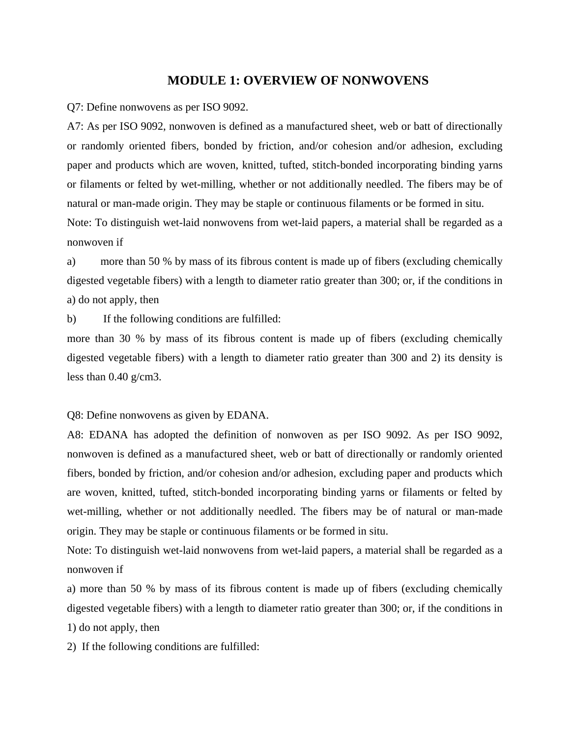## **MODULE 1: OVERVIEW OF NONWOVENS**

Q7: Define nonwovens as per ISO 9092.

A7: As per ISO 9092, nonwoven is defined as a manufactured sheet, web or batt of directionally or randomly oriented fibers, bonded by friction, and/or cohesion and/or adhesion, excluding paper and products which are woven, knitted, tufted, stitch-bonded incorporating binding yarns or filaments or felted by wet-milling, whether or not additionally needled. The fibers may be of natural or man-made origin. They may be staple or continuous filaments or be formed in situ. Note: To distinguish wet-laid nonwovens from wet-laid papers, a material shall be regarded as a

nonwoven if

a) more than 50 % by mass of its fibrous content is made up of fibers (excluding chemically digested vegetable fibers) with a length to diameter ratio greater than 300; or, if the conditions in a) do not apply, then

b) If the following conditions are fulfilled:

more than 30 % by mass of its fibrous content is made up of fibers (excluding chemically digested vegetable fibers) with a length to diameter ratio greater than 300 and 2) its density is less than 0.40 g/cm3.

Q8: Define nonwovens as given by EDANA.

A8: EDANA has adopted the definition of nonwoven as per ISO 9092. As per ISO 9092, nonwoven is defined as a manufactured sheet, web or batt of directionally or randomly oriented fibers, bonded by friction, and/or cohesion and/or adhesion, excluding paper and products which are woven, knitted, tufted, stitch-bonded incorporating binding yarns or filaments or felted by wet-milling, whether or not additionally needled. The fibers may be of natural or man-made origin. They may be staple or continuous filaments or be formed in situ.

Note: To distinguish wet-laid nonwovens from wet-laid papers, a material shall be regarded as a nonwoven if

a) more than 50 % by mass of its fibrous content is made up of fibers (excluding chemically digested vegetable fibers) with a length to diameter ratio greater than 300; or, if the conditions in 1) do not apply, then

2) If the following conditions are fulfilled: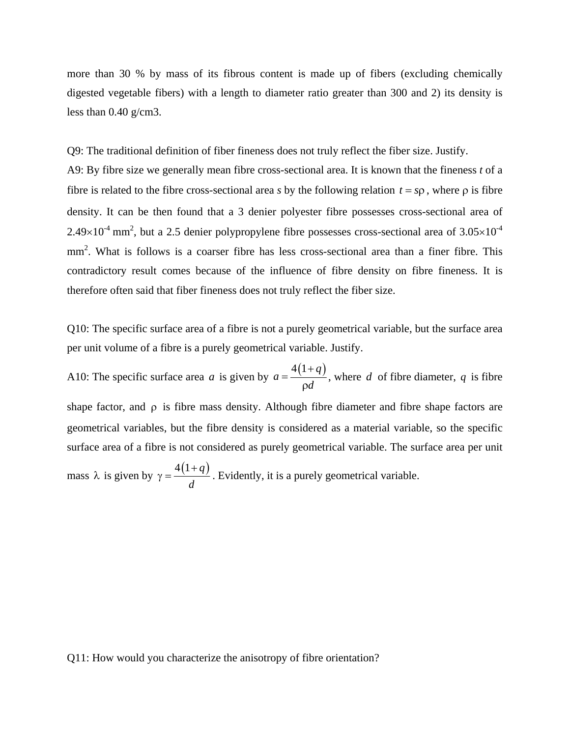more than 30 % by mass of its fibrous content is made up of fibers (excluding chemically digested vegetable fibers) with a length to diameter ratio greater than 300 and 2) its density is less than 0.40 g/cm3.

Q9: The traditional definition of fiber fineness does not truly reflect the fiber size. Justify.

A9: By fibre size we generally mean fibre cross-sectional area. It is known that the fineness *t* of a fibre is related to the fibre cross-sectional area *s* by the following relation  $t = sp$ , where  $\rho$  is fibre density. It can be then found that a 3 denier polyester fibre possesses cross-sectional area of  $2.49\times10^{-4}$  mm<sup>2</sup>, but a 2.5 denier polypropylene fibre possesses cross-sectional area of 3.05 $\times10^{-4}$ mm<sup>2</sup>. What is follows is a coarser fibre has less cross-sectional area than a finer fibre. This contradictory result comes because of the influence of fibre density on fibre fineness. It is therefore often said that fiber fineness does not truly reflect the fiber size.

Q10: The specific surface area of a fibre is not a purely geometrical variable, but the surface area per unit volume of a fibre is a purely geometrical variable. Justify.

A10: The specific surface area *a* is given by  $a = \frac{4(1+q)}{q}$  $=\frac{4(1+)}{\rho d}$ , where  $d$  of fibre diameter,  $q$  is fibre shape factor, and  $\rho$  is fibre mass density. Although fibre diameter and fibre shape factors are geometrical variables, but the fibre density is considered as a material variable, so the specific surface area of a fibre is not considered as purely geometrical variable. The surface area per unit mass  $\lambda$  is given by  $\gamma = \frac{4(1+q)}{q}$ *d* +  $\gamma = \frac{(\gamma + \gamma)}{g}$ . Evidently, it is a purely geometrical variable.

Q11: How would you characterize the anisotropy of fibre orientation?